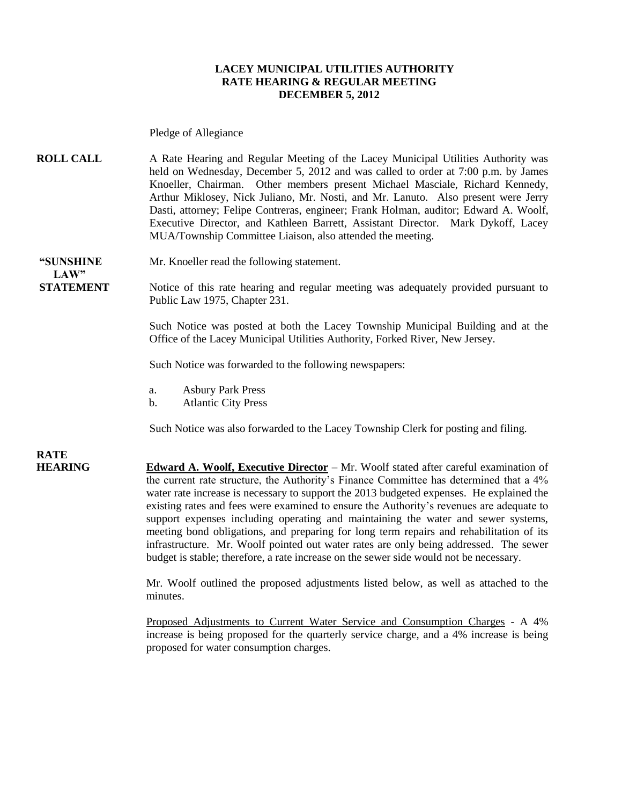#### **LACEY MUNICIPAL UTILITIES AUTHORITY RATE HEARING & REGULAR MEETING DECEMBER 5, 2012**

Pledge of Allegiance

**ROLL CALL** A Rate Hearing and Regular Meeting of the Lacey Municipal Utilities Authority was held on Wednesday, December 5, 2012 and was called to order at 7:00 p.m. by James Knoeller, Chairman. Other members present Michael Masciale, Richard Kennedy, Arthur Miklosey, Nick Juliano, Mr. Nosti, and Mr. Lanuto. Also present were Jerry Dasti, attorney; Felipe Contreras, engineer; Frank Holman, auditor; Edward A. Woolf, Executive Director, and Kathleen Barrett, Assistant Director. Mark Dykoff, Lacey MUA/Township Committee Liaison, also attended the meeting.

 $LAW"$ 

**"SUNSHINE** Mr. Knoeller read the following statement.

**STATEMENT** Notice of this rate hearing and regular meeting was adequately provided pursuant to Public Law 1975, Chapter 231.

> Such Notice was posted at both the Lacey Township Municipal Building and at the Office of the Lacey Municipal Utilities Authority, Forked River, New Jersey.

Such Notice was forwarded to the following newspapers:

- a. Asbury Park Press
- b. Atlantic City Press

Such Notice was also forwarded to the Lacey Township Clerk for posting and filing.

**RATE** 

**HEARING Edward A. Woolf, Executive Director** – Mr. Woolf stated after careful examination of the current rate structure, the Authority's Finance Committee has determined that a 4% water rate increase is necessary to support the 2013 budgeted expenses. He explained the existing rates and fees were examined to ensure the Authority's revenues are adequate to support expenses including operating and maintaining the water and sewer systems, meeting bond obligations, and preparing for long term repairs and rehabilitation of its infrastructure. Mr. Woolf pointed out water rates are only being addressed. The sewer budget is stable; therefore, a rate increase on the sewer side would not be necessary.

> Mr. Woolf outlined the proposed adjustments listed below, as well as attached to the minutes.

> Proposed Adjustments to Current Water Service and Consumption Charges - A 4% increase is being proposed for the quarterly service charge, and a 4% increase is being proposed for water consumption charges.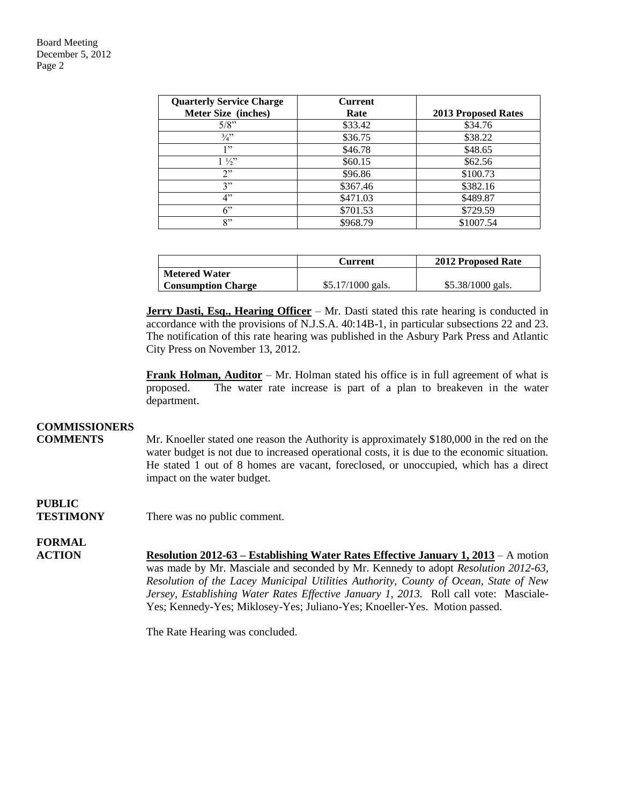Board Meeting December 5, 2012 Page 2

| <b>Quarterly Service Charge</b> | <b>Current</b> |                            |
|---------------------------------|----------------|----------------------------|
| Meter Size (inches)             | Rate           | <b>2013 Proposed Rates</b> |
| $5/8$ "                         | \$33.42        | \$34.76                    |
| $\frac{3}{4}$ ?                 | \$36.75        | \$38.22                    |
| 1, 22                           | \$46.78        | \$48.65                    |
| $1\frac{1}{2}$                  | \$60.15        | \$62.56                    |
| 2                               | \$96.86        | \$100.73                   |
| 3"                              | \$367.46       | \$382.16                   |
| 4"                              | \$471.03       | \$489.87                   |
| 6"                              | \$701.53       | \$729.59                   |
| 8"                              | \$968.79       | \$1007.54                  |

|                           | Current            | <b>2012 Proposed Rate</b> |
|---------------------------|--------------------|---------------------------|
| <b>Metered Water</b>      |                    |                           |
| <b>Consumption Charge</b> | $$5.17/1000$ gals. | $$5.38/1000$ gals.        |

**Jerry Dasti, Esq., Hearing Officer** – Mr. Dasti stated this rate hearing is conducted in accordance with the provisions of N.J.S.A. 40:14B-1, in particular subsections 22 and 23. The notification of this rate hearing was published in the Asbury Park Press and Atlantic City Press on November 13, 2012.

**Frank Holman, Auditor** – Mr. Holman stated his office is in full agreement of what is proposed. The water rate increase is part of a plan to breakeven in the water department.

### **COMMISSIONERS**

**COMMENTS** Mr. Knoeller stated one reason the Authority is approximately \$180,000 in the red on the water budget is not due to increased operational costs, it is due to the economic situation. He stated 1 out of 8 homes are vacant, foreclosed, or unoccupied, which has a direct impact on the water budget.

## **PUBLIC**

**TESTIMONY** There was no public comment.

#### **FORMAL**

**ACTION Resolution 2012-63 – Establishing Water Rates Effective January 1, 2013** – A motion was made by Mr. Masciale and seconded by Mr. Kennedy to adopt *Resolution 2012-63, Resolution of the Lacey Municipal Utilities Authority, County of Ocean, State of New Jersey, Establishing Water Rates Effective January 1, 2013.* Roll call vote: Masciale-Yes; Kennedy-Yes; Miklosey-Yes; Juliano-Yes; Knoeller-Yes. Motion passed.

The Rate Hearing was concluded.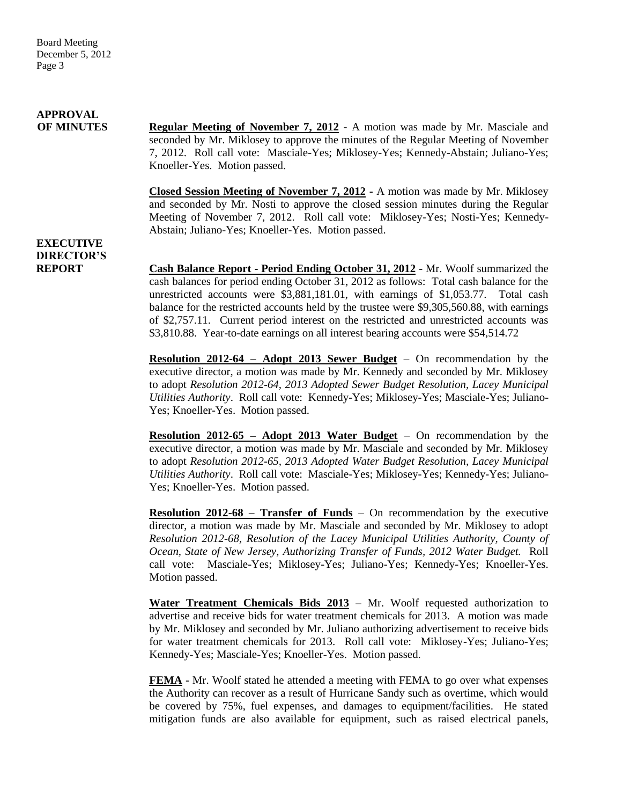# **APPROVAL**

**OF MINUTES Regular Meeting of November 7, 2012 -** A motion was made by Mr. Masciale and seconded by Mr. Miklosey to approve the minutes of the Regular Meeting of November 7, 2012. Roll call vote: Masciale-Yes; Miklosey-Yes; Kennedy-Abstain; Juliano-Yes; Knoeller-Yes. Motion passed.

> **Closed Session Meeting of November 7, 2012 -** A motion was made by Mr. Miklosey and seconded by Mr. Nosti to approve the closed session minutes during the Regular Meeting of November 7, 2012. Roll call vote: Miklosey-Yes; Nosti-Yes; Kennedy-Abstain; Juliano-Yes; Knoeller-Yes. Motion passed.

### **EXECUTIVE DIRECTOR'S**

**REPORT Cash Balance Report - Period Ending October 31, 2012** - Mr. Woolf summarized the cash balances for period ending October 31, 2012 as follows: Total cash balance for the unrestricted accounts were \$3,881,181.01, with earnings of \$1,053.77. Total cash balance for the restricted accounts held by the trustee were \$9,305,560.88, with earnings of \$2,757.11. Current period interest on the restricted and unrestricted accounts was \$3,810.88. Year-to-date earnings on all interest bearing accounts were \$54,514.72

> **Resolution 2012-64 – Adopt 2013 Sewer Budget** – On recommendation by the executive director, a motion was made by Mr. Kennedy and seconded by Mr. Miklosey to adopt *Resolution 2012-64, 2013 Adopted Sewer Budget Resolution, Lacey Municipal Utilities Authority*. Roll call vote: Kennedy-Yes; Miklosey-Yes; Masciale-Yes; Juliano-Yes; Knoeller-Yes. Motion passed.

> **Resolution 2012-65 – Adopt 2013 Water Budget** – On recommendation by the executive director, a motion was made by Mr. Masciale and seconded by Mr. Miklosey to adopt *Resolution 2012-65, 2013 Adopted Water Budget Resolution, Lacey Municipal Utilities Authority*. Roll call vote: Masciale-Yes; Miklosey-Yes; Kennedy-Yes; Juliano-Yes; Knoeller-Yes. Motion passed.

> **Resolution 2012-68 – Transfer of Funds** – On recommendation by the executive director, a motion was made by Mr. Masciale and seconded by Mr. Miklosey to adopt *Resolution 2012-68, Resolution of the Lacey Municipal Utilities Authority, County of Ocean, State of New Jersey, Authorizing Transfer of Funds, 2012 Water Budget.* Roll call vote: Masciale-Yes; Miklosey-Yes; Juliano-Yes; Kennedy-Yes; Knoeller-Yes. Motion passed.

> **Water Treatment Chemicals Bids 2013** – Mr. Woolf requested authorization to advertise and receive bids for water treatment chemicals for 2013. A motion was made by Mr. Miklosey and seconded by Mr. Juliano authorizing advertisement to receive bids for water treatment chemicals for 2013. Roll call vote: Miklosey-Yes; Juliano-Yes; Kennedy-Yes; Masciale-Yes; Knoeller-Yes. Motion passed.

> **FEMA** - Mr. Woolf stated he attended a meeting with FEMA to go over what expenses the Authority can recover as a result of Hurricane Sandy such as overtime, which would be covered by 75%, fuel expenses, and damages to equipment/facilities. He stated mitigation funds are also available for equipment, such as raised electrical panels,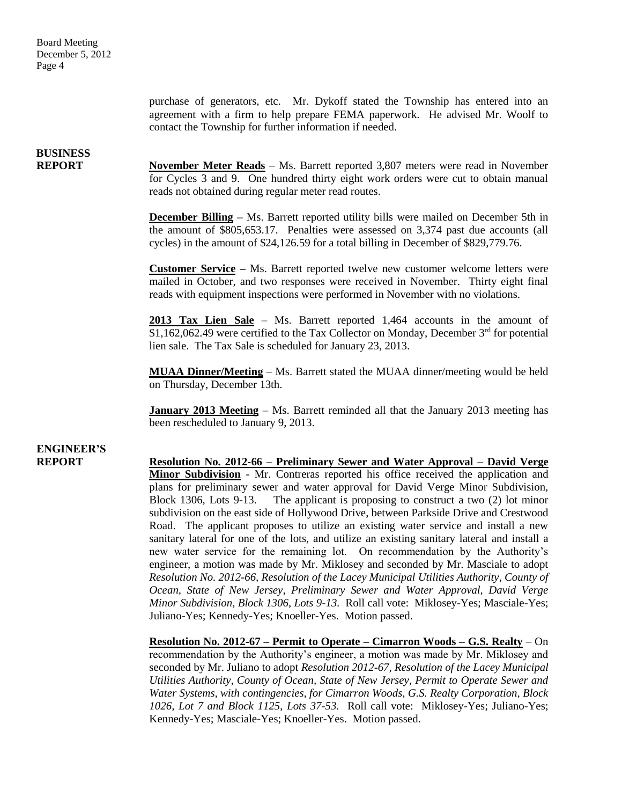purchase of generators, etc. Mr. Dykoff stated the Township has entered into an agreement with a firm to help prepare FEMA paperwork. He advised Mr. Woolf to contact the Township for further information if needed.

## **BUSINESS**

**REPORT** November Meter Reads – Ms. Barrett reported 3,807 meters were read in November for Cycles 3 and 9. One hundred thirty eight work orders were cut to obtain manual reads not obtained during regular meter read routes.

> **December Billing** – Ms. Barrett reported utility bills were mailed on December 5th in the amount of \$805,653.17. Penalties were assessed on 3,374 past due accounts (all cycles) in the amount of \$24,126.59 for a total billing in December of \$829,779.76.

> **Customer Service –** Ms. Barrett reported twelve new customer welcome letters were mailed in October, and two responses were received in November. Thirty eight final reads with equipment inspections were performed in November with no violations.

> **2013 Tax Lien Sale** – Ms. Barrett reported 1,464 accounts in the amount of  $$1,162,062.49$  were certified to the Tax Collector on Monday, December  $3<sup>rd</sup>$  for potential lien sale. The Tax Sale is scheduled for January 23, 2013.

> **MUAA Dinner/Meeting** – Ms. Barrett stated the MUAA dinner/meeting would be held on Thursday, December 13th.

> **January 2013 Meeting** – Ms. Barrett reminded all that the January 2013 meeting has been rescheduled to January 9, 2013.

# **ENGINEER'S**

**REPORT Resolution No. 2012-66 – Preliminary Sewer and Water Approval – David Verge Minor Subdivision** - Mr. Contreras reported his office received the application and plans for preliminary sewer and water approval for David Verge Minor Subdivision, Block 1306, Lots 9-13. The applicant is proposing to construct a two (2) lot minor subdivision on the east side of Hollywood Drive, between Parkside Drive and Crestwood Road. The applicant proposes to utilize an existing water service and install a new sanitary lateral for one of the lots, and utilize an existing sanitary lateral and install a new water service for the remaining lot. On recommendation by the Authority's engineer, a motion was made by Mr. Miklosey and seconded by Mr. Masciale to adopt *Resolution No. 2012-66, Resolution of the Lacey Municipal Utilities Authority, County of Ocean, State of New Jersey, Preliminary Sewer and Water Approval, David Verge Minor Subdivision, Block 1306, Lots 9-13.* Roll call vote: Miklosey-Yes; Masciale-Yes; Juliano-Yes; Kennedy-Yes; Knoeller-Yes. Motion passed.

> **Resolution No. 2012-67 – Permit to Operate – Cimarron Woods – G.S. Realty** – On recommendation by the Authority's engineer, a motion was made by Mr. Miklosey and seconded by Mr. Juliano to adopt *Resolution 2012-67, Resolution of the Lacey Municipal Utilities Authority, County of Ocean, State of New Jersey, Permit to Operate Sewer and Water Systems, with contingencies, for Cimarron Woods, G.S. Realty Corporation, Block 1026, Lot 7 and Block 1125, Lots 37-53.* Roll call vote: Miklosey-Yes; Juliano-Yes; Kennedy-Yes; Masciale-Yes; Knoeller-Yes. Motion passed.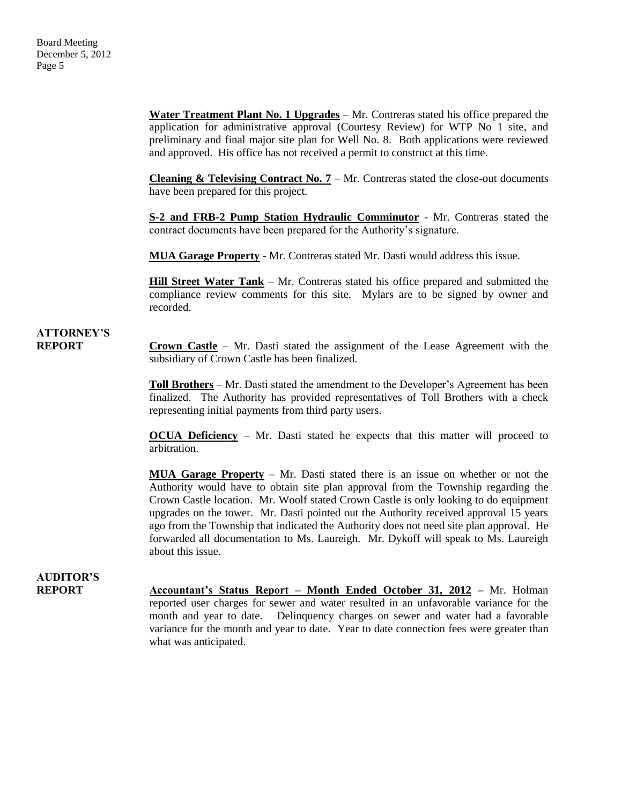**Water Treatment Plant No. 1 Upgrades** – Mr. Contreras stated his office prepared the application for administrative approval (Courtesy Review) for WTP No 1 site, and preliminary and final major site plan for Well No. 8. Both applications were reviewed and approved. His office has not received a permit to construct at this time.

**Cleaning & Televising Contract No. 7** – Mr. Contreras stated the close-out documents have been prepared for this project.

**S-2 and FRB-2 Pump Station Hydraulic Comminutor** - Mr. Contreras stated the contract documents have been prepared for the Authority's signature.

**MUA Garage Property** - Mr. Contreras stated Mr. Dasti would address this issue.

**Hill Street Water Tank** – Mr. Contreras stated his office prepared and submitted the compliance review comments for this site. Mylars are to be signed by owner and recorded.

### **ATTORNEY'S**

**REPORT Crown Castle** – Mr. Dasti stated the assignment of the Lease Agreement with the subsidiary of Crown Castle has been finalized.

> **Toll Brothers** – Mr. Dasti stated the amendment to the Developer's Agreement has been finalized. The Authority has provided representatives of Toll Brothers with a check representing initial payments from third party users.

> **OCUA Deficiency** – Mr. Dasti stated he expects that this matter will proceed to arbitration.

> **MUA Garage Property** – Mr. Dasti stated there is an issue on whether or not the Authority would have to obtain site plan approval from the Township regarding the Crown Castle location. Mr. Woolf stated Crown Castle is only looking to do equipment upgrades on the tower. Mr. Dasti pointed out the Authority received approval 15 years ago from the Township that indicated the Authority does not need site plan approval. He forwarded all documentation to Ms. Laureigh. Mr. Dykoff will speak to Ms. Laureigh about this issue.

## **AUDITOR'S**

**REPORT Accountant's Status Report – Month Ended October 31, 2012 –** Mr. Holman reported user charges for sewer and water resulted in an unfavorable variance for the month and year to date. Delinquency charges on sewer and water had a favorable variance for the month and year to date. Year to date connection fees were greater than what was anticipated.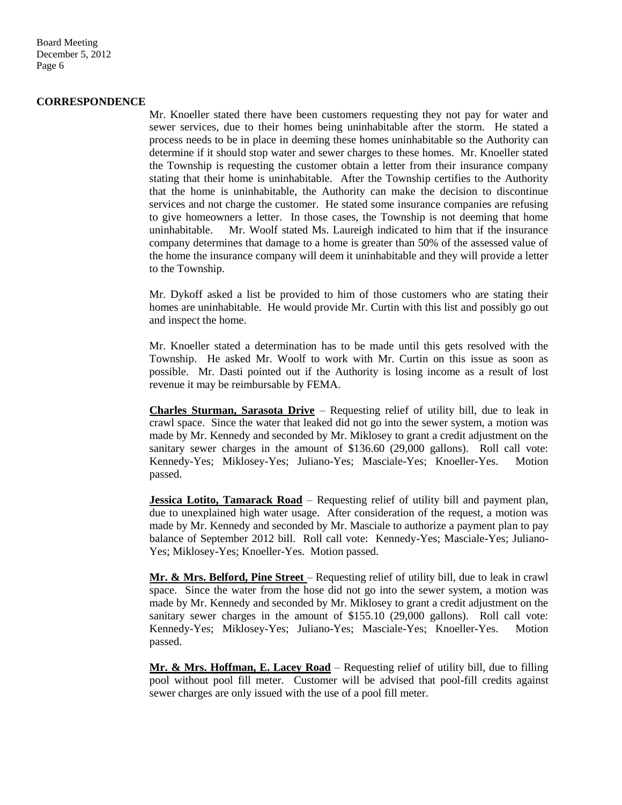Board Meeting December 5, 2012 Page 6

#### **CORRESPONDENCE**

Mr. Knoeller stated there have been customers requesting they not pay for water and sewer services, due to their homes being uninhabitable after the storm. He stated a process needs to be in place in deeming these homes uninhabitable so the Authority can determine if it should stop water and sewer charges to these homes. Mr. Knoeller stated the Township is requesting the customer obtain a letter from their insurance company stating that their home is uninhabitable. After the Township certifies to the Authority that the home is uninhabitable, the Authority can make the decision to discontinue services and not charge the customer. He stated some insurance companies are refusing to give homeowners a letter. In those cases, the Township is not deeming that home uninhabitable. Mr. Woolf stated Ms. Laureigh indicated to him that if the insurance company determines that damage to a home is greater than 50% of the assessed value of the home the insurance company will deem it uninhabitable and they will provide a letter to the Township.

Mr. Dykoff asked a list be provided to him of those customers who are stating their homes are uninhabitable. He would provide Mr. Curtin with this list and possibly go out and inspect the home.

Mr. Knoeller stated a determination has to be made until this gets resolved with the Township. He asked Mr. Woolf to work with Mr. Curtin on this issue as soon as possible. Mr. Dasti pointed out if the Authority is losing income as a result of lost revenue it may be reimbursable by FEMA.

**Charles Sturman, Sarasota Drive** – Requesting relief of utility bill, due to leak in crawl space. Since the water that leaked did not go into the sewer system, a motion was made by Mr. Kennedy and seconded by Mr. Miklosey to grant a credit adjustment on the sanitary sewer charges in the amount of \$136.60 (29,000 gallons). Roll call vote: Kennedy-Yes; Miklosey-Yes; Juliano-Yes; Masciale-Yes; Knoeller-Yes. Motion passed.

**Jessica Lotito, Tamarack Road** – Requesting relief of utility bill and payment plan, due to unexplained high water usage. After consideration of the request, a motion was made by Mr. Kennedy and seconded by Mr. Masciale to authorize a payment plan to pay balance of September 2012 bill. Roll call vote: Kennedy-Yes; Masciale-Yes; Juliano-Yes; Miklosey-Yes; Knoeller-Yes. Motion passed.

**Mr. & Mrs. Belford, Pine Street** – Requesting relief of utility bill, due to leak in crawl space. Since the water from the hose did not go into the sewer system, a motion was made by Mr. Kennedy and seconded by Mr. Miklosey to grant a credit adjustment on the sanitary sewer charges in the amount of \$155.10 (29,000 gallons). Roll call vote: Kennedy-Yes; Miklosey-Yes; Juliano-Yes; Masciale-Yes; Knoeller-Yes. Motion passed.

**Mr. & Mrs. Hoffman, E. Lacey Road** – Requesting relief of utility bill, due to filling pool without pool fill meter. Customer will be advised that pool-fill credits against sewer charges are only issued with the use of a pool fill meter.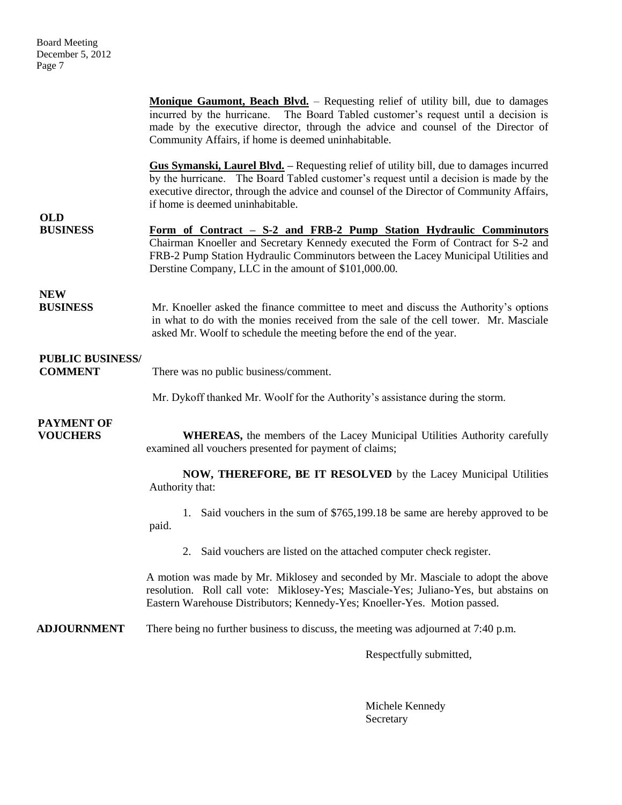**Monique Gaumont, Beach Blvd.** – Requesting relief of utility bill, due to damages incurred by the hurricane. The Board Tabled customer's request until a decision is made by the executive director, through the advice and counsel of the Director of Community Affairs, if home is deemed uninhabitable. **Gus Symanski, Laurel Blvd. –** Requesting relief of utility bill, due to damages incurred by the hurricane. The Board Tabled customer's request until a decision is made by the executive director, through the advice and counsel of the Director of Community Affairs, if home is deemed uninhabitable. **OLD BUSINESS Form of Contract – S-2 and FRB-2 Pump Station Hydraulic Comminutors** Chairman Knoeller and Secretary Kennedy executed the Form of Contract for S-2 and FRB-2 Pump Station Hydraulic Comminutors between the Lacey Municipal Utilities and Derstine Company, LLC in the amount of \$101,000.00. **NEW BUSINESS** Mr. Knoeller asked the finance committee to meet and discuss the Authority's options in what to do with the monies received from the sale of the cell tower. Mr. Masciale asked Mr. Woolf to schedule the meeting before the end of the year. **PUBLIC BUSINESS/ COMMENT** There was no public business/comment. Mr. Dykoff thanked Mr. Woolf for the Authority's assistance during the storm.  **PAYMENT OF VOUCHERS** WHEREAS, the members of the Lacey Municipal Utilities Authority carefully examined all vouchers presented for payment of claims; **NOW, THEREFORE, BE IT RESOLVED** by the Lacey Municipal Utilities Authority that: 1. Said vouchers in the sum of \$765,199.18 be same are hereby approved to be paid. 2. Said vouchers are listed on the attached computer check register. A motion was made by Mr. Miklosey and seconded by Mr. Masciale to adopt the above resolution. Roll call vote: Miklosey-Yes; Masciale-Yes; Juliano-Yes, but abstains on Eastern Warehouse Distributors; Kennedy-Yes; Knoeller-Yes. Motion passed. **ADJOURNMENT** There being no further business to discuss, the meeting was adjourned at 7:40 p.m. Respectfully submitted,

> Michele Kennedy Secretary